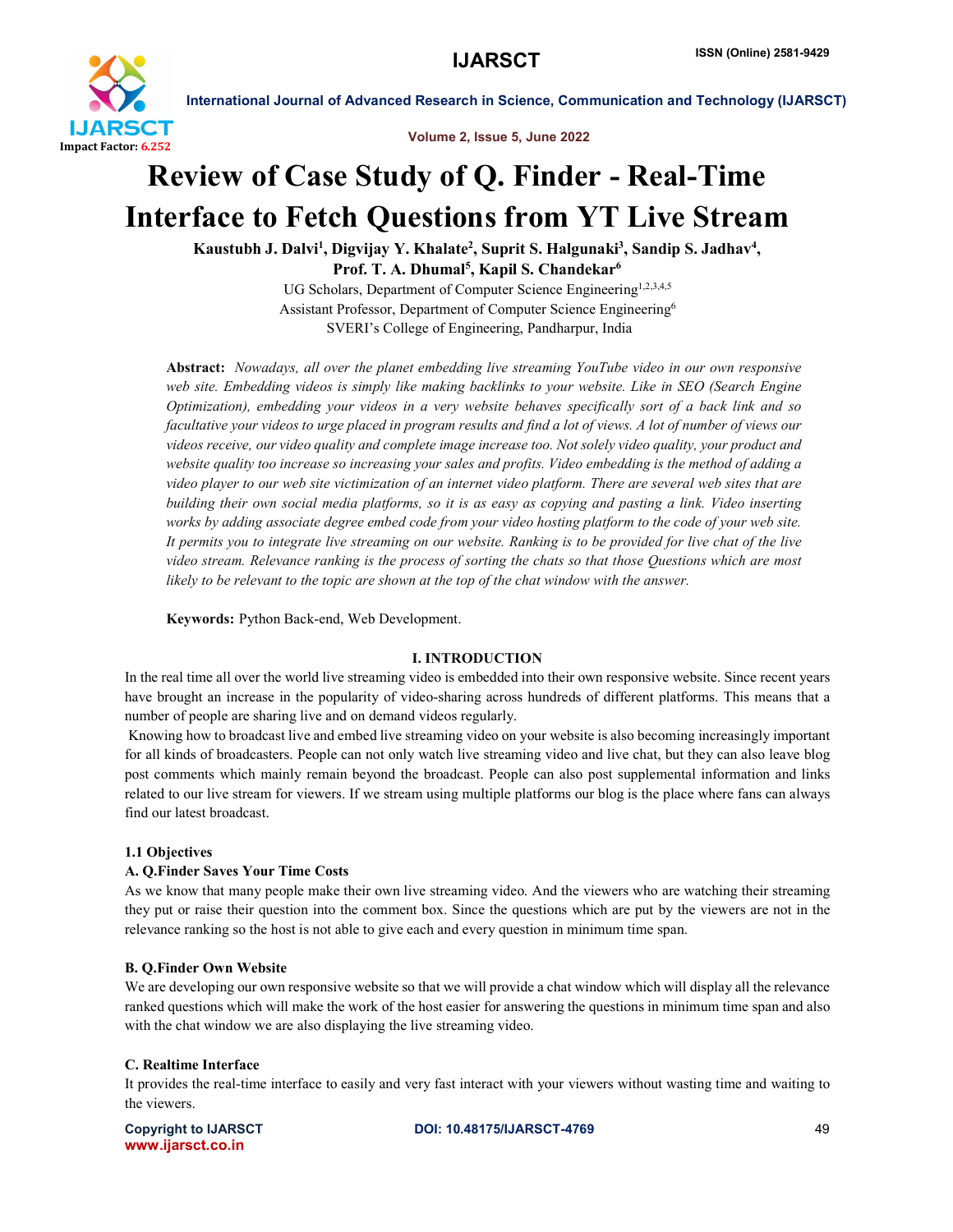

International Journal of Advanced Research in Science, Communication and Technology (IJARSCT)

Volume 2, Issue 5, June 2022

# Review of Case Study of Q. Finder - Real-Time Interface to Fetch Questions from YT Live Stream

Kaustubh J. Dalvi<sup>1</sup>, Digvijay Y. Khalate<sup>2</sup>, Suprit S. Halgunaki<sup>3</sup>, Sandip S. Jadhav<sup>4</sup>, Prof. T. A. Dhumal<sup>5</sup>, Kapil S. Chandekar<sup>6</sup>

UG Scholars, Department of Computer Science Engineering<sup>1,2,3,4,5</sup> Assistant Professor, Department of Computer Science Engineering6 SVERI's College of Engineering, Pandharpur, India

Abstract: *Nowadays, all over the planet embedding live streaming YouTube video in our own responsive web site. Embedding videos is simply like making backlinks to your website. Like in SEO (Search Engine Optimization), embedding your videos in a very website behaves specifically sort of a back link and so*  facultative your videos to urge placed in program results and find a lot of views. A lot of number of views our *videos receive, our video quality and complete image increase too. Not solely video quality, your product and website quality too increase so increasing your sales and profits. Video embedding is the method of adding a video player to our web site victimization of an internet video platform. There are several web sites that are building their own social media platforms, so it is as easy as copying and pasting a link. Video inserting works by adding associate degree embed code from your video hosting platform to the code of your web site. It permits you to integrate live streaming on our website. Ranking is to be provided for live chat of the live video stream. Relevance ranking is the process of sorting the chats so that those Questions which are most likely to be relevant to the topic are shown at the top of the chat window with the answer.*

Keywords: Python Back-end, Web Development.

#### I. INTRODUCTION

In the real time all over the world live streaming video is embedded into their own responsive website. Since recent years have brought an increase in the popularity of video-sharing across hundreds of different platforms. This means that a number of people are sharing live and on demand videos regularly.

Knowing how to broadcast live and embed live streaming video on your website is also becoming increasingly important for all kinds of broadcasters. People can not only watch live streaming video and live chat, but they can also leave blog post comments which mainly remain beyond the broadcast. People can also post supplemental information and links related to our live stream for viewers. If we stream using multiple platforms our blog is the place where fans can always find our latest broadcast.

#### 1.1 Objectives

#### A. Q.Finder Saves Your Time Costs

As we know that many people make their own live streaming video. And the viewers who are watching their streaming they put or raise their question into the comment box. Since the questions which are put by the viewers are not in the relevance ranking so the host is not able to give each and every question in minimum time span.

#### B. Q.Finder Own Website

We are developing our own responsive website so that we will provide a chat window which will display all the relevance ranked questions which will make the work of the host easier for answering the questions in minimum time span and also with the chat window we are also displaying the live streaming video.

#### C. Realtime Interface

It provides the real-time interface to easily and very fast interact with your viewers without wasting time and waiting to the viewers.

www.ijarsct.co.in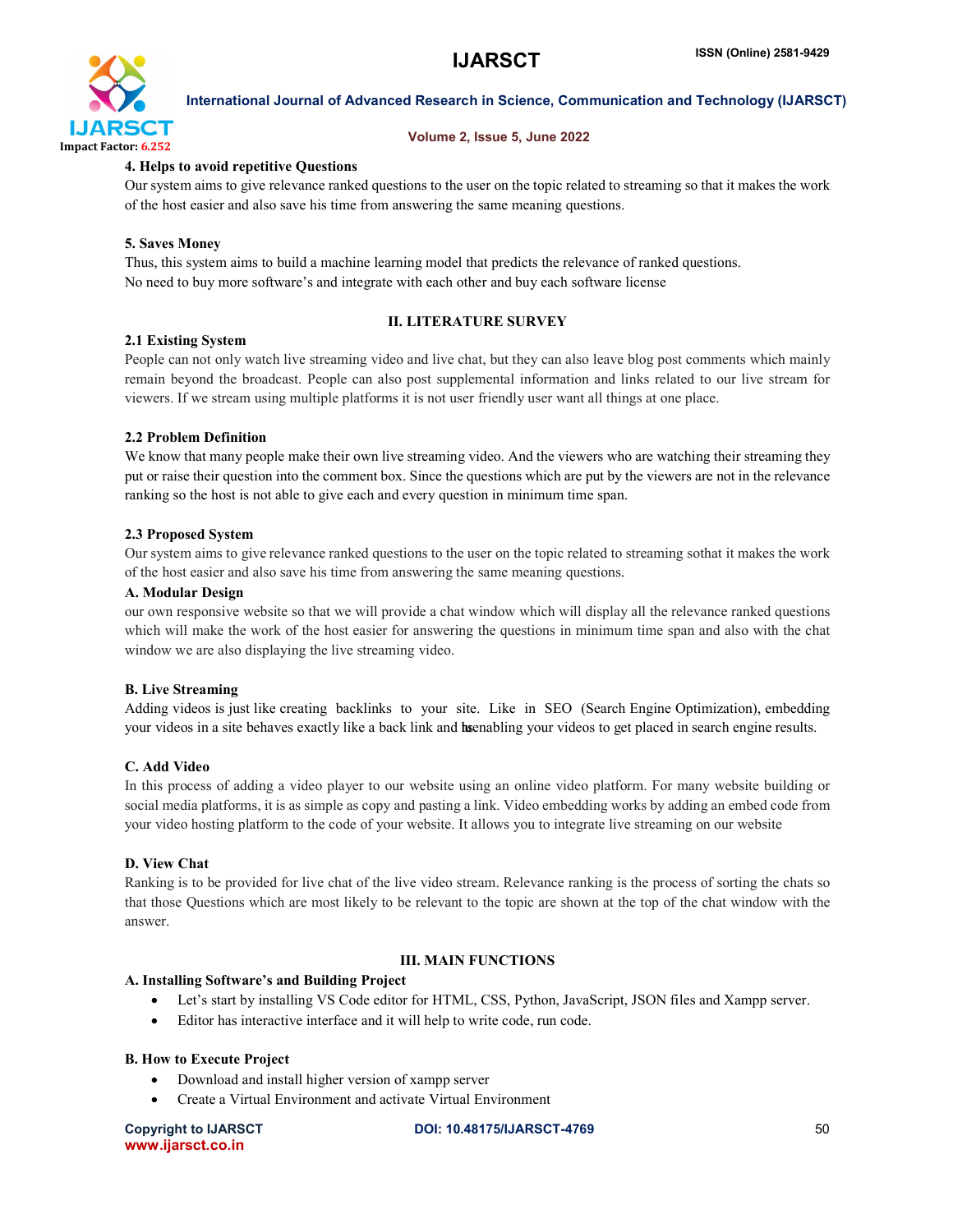

#### International Journal of Advanced Research in Science, Communication and Technology (IJARSCT)

#### Volume 2, Issue 5, June 2022

#### 4. Helps to avoid repetitive Questions

Our system aims to give relevance ranked questions to the user on the topic related to streaming so that it makes the work of the host easier and also save his time from answering the same meaning questions.

#### 5. Saves Money

Thus, this system aims to build a machine learning model that predicts the relevance of ranked questions. No need to buy more software's and integrate with each other and buy each software license

## 2.1 Existing System

#### II. LITERATURE SURVEY

People can not only watch live streaming video and live chat, but they can also leave blog post comments which mainly remain beyond the broadcast. People can also post supplemental information and links related to our live stream for viewers. If we stream using multiple platforms it is not user friendly user want all things at one place.

#### 2.2 Problem Definition

We know that many people make their own live streaming video. And the viewers who are watching their streaming they put or raise their question into the comment box. Since the questions which are put by the viewers are not in the relevance ranking so the host is not able to give each and every question in minimum time span.

#### 2.3 Proposed System

Our system aims to give relevance ranked questions to the user on the topic related to streaming sothat it makes the work of the host easier and also save his time from answering the same meaning questions.

#### A. Modular Design

our own responsive website so that we will provide a chat window which will display all the relevance ranked questions which will make the work of the host easier for answering the questions in minimum time span and also with the chat window we are also displaying the live streaming video.

#### B. Live Streaming

Adding videos is just like creating backlinks to your site. Like in SEO (Search Engine Optimization), embedding your videos in a site behaves exactly like a back link and has enabling your videos to get placed in search engine results.

#### C. Add Video

In this process of adding a video player to our website using an online video platform. For many website building or social media platforms, it is as simple as copy and pasting a link. Video embedding works by adding an embed code from your video hosting platform to the code of your website. It allows you to integrate live streaming on our website

#### D. View Chat

Ranking is to be provided for live chat of the live video stream. Relevance ranking is the process of sorting the chats so that those Questions which are most likely to be relevant to the topic are shown at the top of the chat window with the answer.

### III. MAIN FUNCTIONS

#### A. Installing Software's and Building Project

- Let's start by installing VS Code editor for HTML, CSS, Python, JavaScript, JSON files and Xampp server.
- Editor has interactive interface and it will help to write code, run code.

#### B. How to Execute Project

- Download and install higher version of xampp server
- Create a Virtual Environment and activate Virtual Environment

www.ijarsct.co.in

Copyright to IJARSCT **DOI: 10.48175/IJARSCT-4769** 50